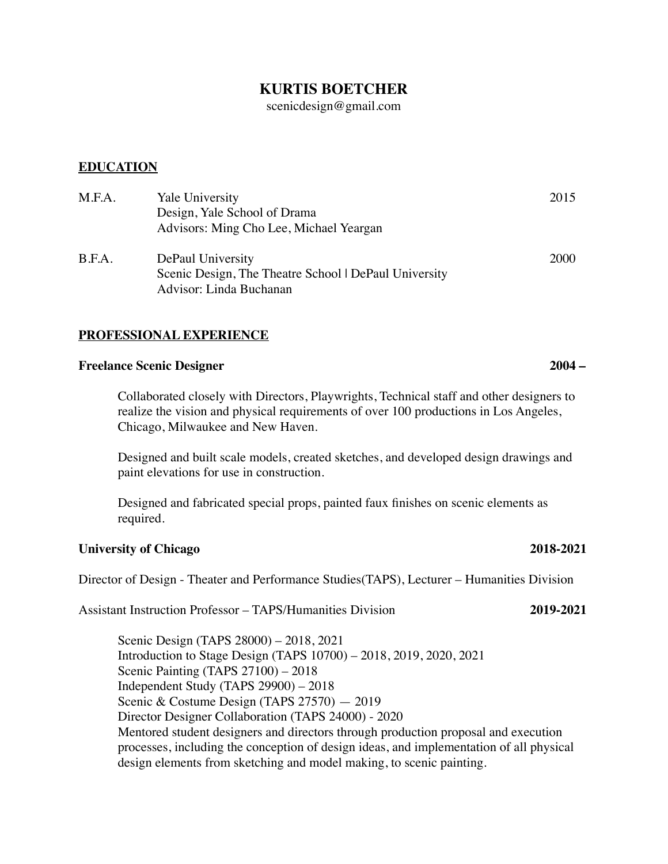# **KURTIS BOETCHER**

[scenicdesign@gmail.com](mailto:scenicdesign@gmail.com)

# **EDUCATION**

| M.F.A. | Yale University<br>Design, Yale School of Drama<br>Advisors: Ming Cho Lee, Michael Yeargan            | 2015 |
|--------|-------------------------------------------------------------------------------------------------------|------|
| B.F.A. | DePaul University<br>Scenic Design, The Theatre School   DePaul University<br>Advisor: Linda Buchanan | 2000 |

# **PROFESSIONAL EXPERIENCE**

## **Freelance Scenic Designer 2004 –**

Collaborated closely with Directors, Playwrights, Technical staff and other designers to realize the vision and physical requirements of over 100 productions in Los Angeles, Chicago, Milwaukee and New Haven.

Designed and built scale models, created sketches, and developed design drawings and paint elevations for use in construction.

Designed and fabricated special props, painted faux finishes on scenic elements as required.

# **University of Chicago 2018-2021**

Director of Design - Theater and Performance Studies(TAPS), Lecturer – Humanities Division

Assistant Instruction Professor – TAPS/Humanities Division **2019-2021**

Scenic Design (TAPS 28000) – 2018, 2021 Introduction to Stage Design (TAPS 10700) – 2018, 2019, 2020, 2021 Scenic Painting (TAPS 27100) – 2018 Independent Study (TAPS 29900) – 2018 Scenic & Costume Design (TAPS 27570) - 2019 Director Designer Collaboration (TAPS 24000) - 2020 Mentored student designers and directors through production proposal and execution processes, including the conception of design ideas, and implementation of all physical design elements from sketching and model making, to scenic painting.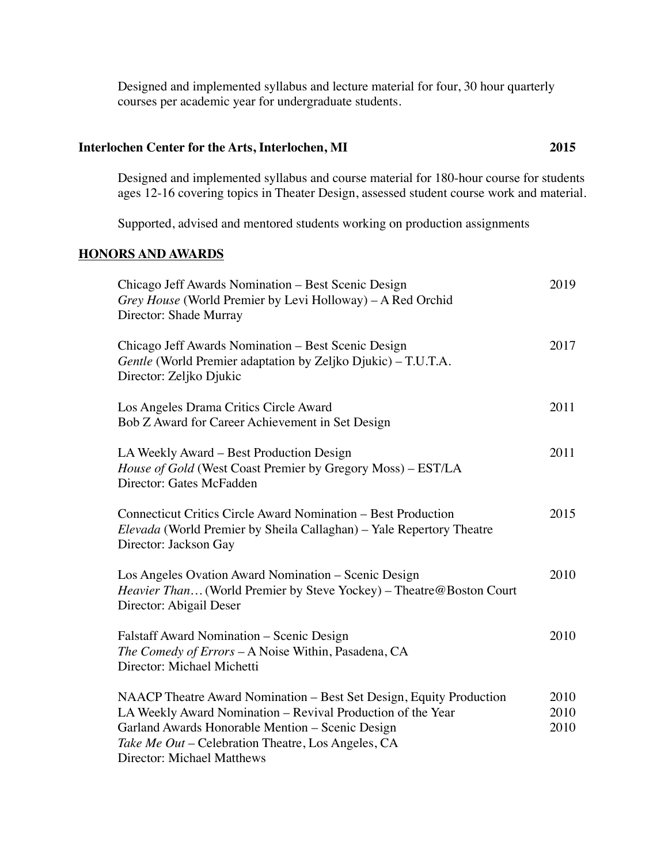Designed and implemented syllabus and lecture material for four, 30 hour quarterly courses per academic year for undergraduate students.

# **Interlochen Center for the Arts, Interlochen, MI 2015**

Designed and implemented syllabus and course material for 180-hour course for students ages 12-16 covering topics in Theater Design, assessed student course work and material.

Supported, advised and mentored students working on production assignments

# **HONORS AND AWARDS**

| Chicago Jeff Awards Nomination – Best Scenic Design<br>Grey House (World Premier by Levi Holloway) - A Red Orchid<br>Director: Shade Murray                                                                                                                                | 2019                 |
|----------------------------------------------------------------------------------------------------------------------------------------------------------------------------------------------------------------------------------------------------------------------------|----------------------|
| Chicago Jeff Awards Nomination – Best Scenic Design<br>Gentle (World Premier adaptation by Zeljko Djukic) – T.U.T.A.<br>Director: Zeljko Djukic                                                                                                                            | 2017                 |
| Los Angeles Drama Critics Circle Award<br>Bob Z Award for Career Achievement in Set Design                                                                                                                                                                                 | 2011                 |
| LA Weekly Award – Best Production Design<br>House of Gold (West Coast Premier by Gregory Moss) - EST/LA<br>Director: Gates McFadden                                                                                                                                        | 2011                 |
| <b>Connecticut Critics Circle Award Nomination - Best Production</b><br>Elevada (World Premier by Sheila Callaghan) - Yale Repertory Theatre<br>Director: Jackson Gay                                                                                                      | 2015                 |
| Los Angeles Ovation Award Nomination – Scenic Design<br>Heavier Than (World Premier by Steve Yockey) - Theatre@Boston Court<br>Director: Abigail Deser                                                                                                                     | 2010                 |
| <b>Falstaff Award Nomination – Scenic Design</b><br>The Comedy of Errors - A Noise Within, Pasadena, CA<br>Director: Michael Michetti                                                                                                                                      | 2010                 |
| NAACP Theatre Award Nomination - Best Set Design, Equity Production<br>LA Weekly Award Nomination - Revival Production of the Year<br>Garland Awards Honorable Mention - Scenic Design<br>Take Me Out – Celebration Theatre, Los Angeles, CA<br>Director: Michael Matthews | 2010<br>2010<br>2010 |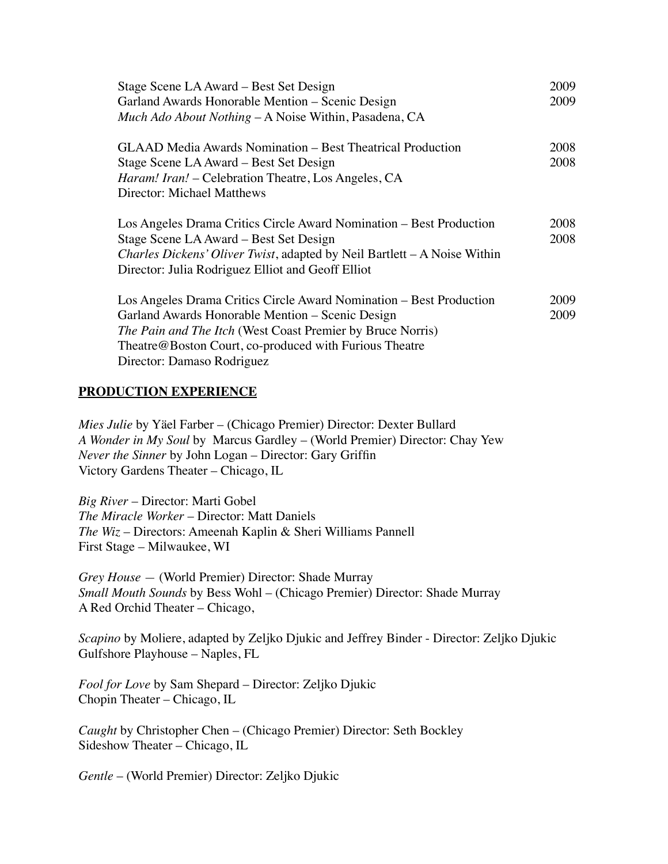| Stage Scene LA Award – Best Set Design<br>Garland Awards Honorable Mention - Scenic Design<br>Much Ado About Nothing – A Noise Within, Pasadena, CA                                                                                                                                  | 2009<br>2009 |
|--------------------------------------------------------------------------------------------------------------------------------------------------------------------------------------------------------------------------------------------------------------------------------------|--------------|
| <b>GLAAD Media Awards Nomination – Best Theatrical Production</b><br>Stage Scene LA Award – Best Set Design<br><i>Haram! Iran! – Celebration Theatre, Los Angeles, CA</i><br>Director: Michael Matthews                                                                              | 2008<br>2008 |
| Los Angeles Drama Critics Circle Award Nomination – Best Production<br>Stage Scene LA Award – Best Set Design<br><i>Charles Dickens' Oliver Twist</i> , adapted by Neil Bartlett – A Noise Within<br>Director: Julia Rodriguez Elliot and Geoff Elliot                               | 2008<br>2008 |
| Los Angeles Drama Critics Circle Award Nomination – Best Production<br>Garland Awards Honorable Mention – Scenic Design<br><i>The Pain and The Itch</i> (West Coast Premier by Bruce Norris)<br>Theatre@Boston Court, co-produced with Furious Theatre<br>Director: Damaso Rodriguez | 2009<br>2009 |

## **PRODUCTION EXPERIENCE**

*Mies Julie* by Yäel Farber – (Chicago Premier) Director: Dexter Bullard *A Wonder in My Soul* by Marcus Gardley – (World Premier) Director: Chay Yew *Never the Sinner* by John Logan – Director: Gary Griffin Victory Gardens Theater – Chicago, IL

*Big River* – Director: Marti Gobel *The Miracle Worker* – Director: Matt Daniels *The Wiz* – Directors: Ameenah Kaplin & Sheri Williams Pannell First Stage – Milwaukee, WI

*Grey House —* (World Premier) Director: Shade Murray *Small Mouth Sounds* by Bess Wohl – (Chicago Premier) Director: Shade Murray A Red Orchid Theater – Chicago,

*Scapino* by Moliere, adapted by Zeljko Djukic and Jeffrey Binder - Director: Zeljko Djukic Gulfshore Playhouse – Naples, FL

*Fool for Love* by Sam Shepard – Director: Zeljko Djukic Chopin Theater – Chicago, IL

*Caught* by Christopher Chen – (Chicago Premier) Director: Seth Bockley Sideshow Theater – Chicago, IL

*Gentle* – (World Premier) Director: Zeljko Djukic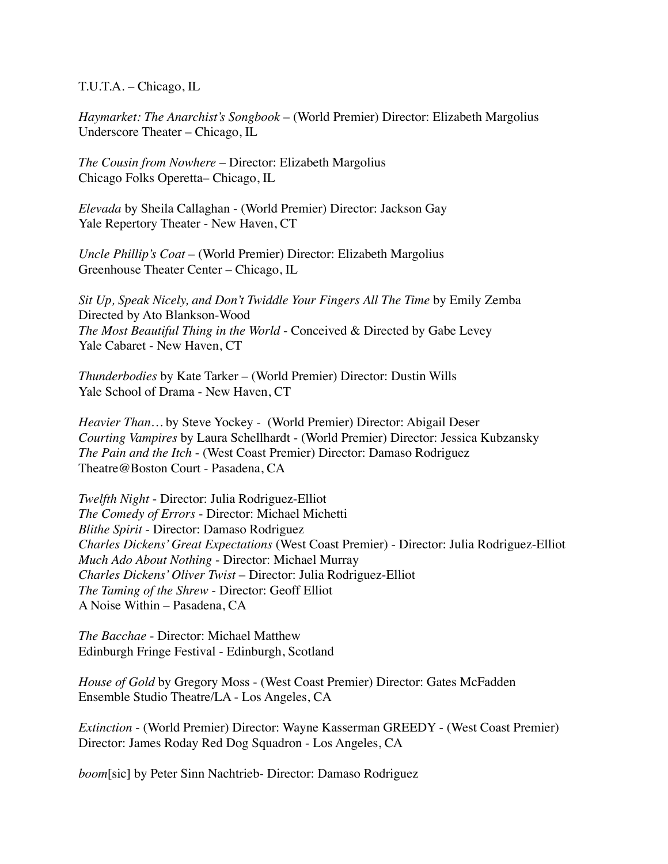T.U.T.A. – Chicago, IL

*Haymarket: The Anarchist's Songbook* – (World Premier) Director: Elizabeth Margolius Underscore Theater – Chicago, IL

*The Cousin from Nowhere* – Director: Elizabeth Margolius Chicago Folks Operetta– Chicago, IL

*Elevada* by Sheila Callaghan - (World Premier) Director: Jackson Gay Yale Repertory Theater - New Haven, CT

*Uncle Phillip's Coat* – (World Premier) Director: Elizabeth Margolius Greenhouse Theater Center – Chicago, IL

*Sit Up, Speak Nicely, and Don't Twiddle Your Fingers All The Time* by Emily Zemba Directed by Ato Blankson-Wood *The Most Beautiful Thing in the World* - Conceived & Directed by Gabe Levey Yale Cabaret - New Haven, CT

*Thunderbodies* by Kate Tarker – (World Premier) Director: Dustin Wills Yale School of Drama - New Haven, CT

*Heavier Than…* by Steve Yockey - (World Premier) Director: Abigail Deser *Courting Vampires* by Laura Schellhardt - (World Premier) Director: Jessica Kubzansky *The Pain and the Itch* - (West Coast Premier) Director: Damaso Rodriguez Theatre@Boston Court - Pasadena, CA

*Twelfth Night* - Director: Julia Rodriguez-Elliot *The Comedy of Errors* - Director: Michael Michetti *Blithe Spirit* - Director: Damaso Rodriguez *Charles Dickens' Great Expectations* (West Coast Premier) - Director: Julia Rodriguez-Elliot *Much Ado About Nothing* - Director: Michael Murray *Charles Dickens' Oliver Twist* – Director: Julia Rodriguez-Elliot *The Taming of the Shrew* - Director: Geoff Elliot A Noise Within – Pasadena, CA

*The Bacchae* - Director: Michael Matthew Edinburgh Fringe Festival - Edinburgh, Scotland

*House of Gold* by Gregory Moss - (West Coast Premier) Director: Gates McFadden Ensemble Studio Theatre/LA - Los Angeles, CA

*Extinction* - (World Premier) Director: Wayne Kasserman GREEDY - (West Coast Premier) Director: James Roday Red Dog Squadron - Los Angeles, CA

*boom*[sic] by Peter Sinn Nachtrieb- Director: Damaso Rodriguez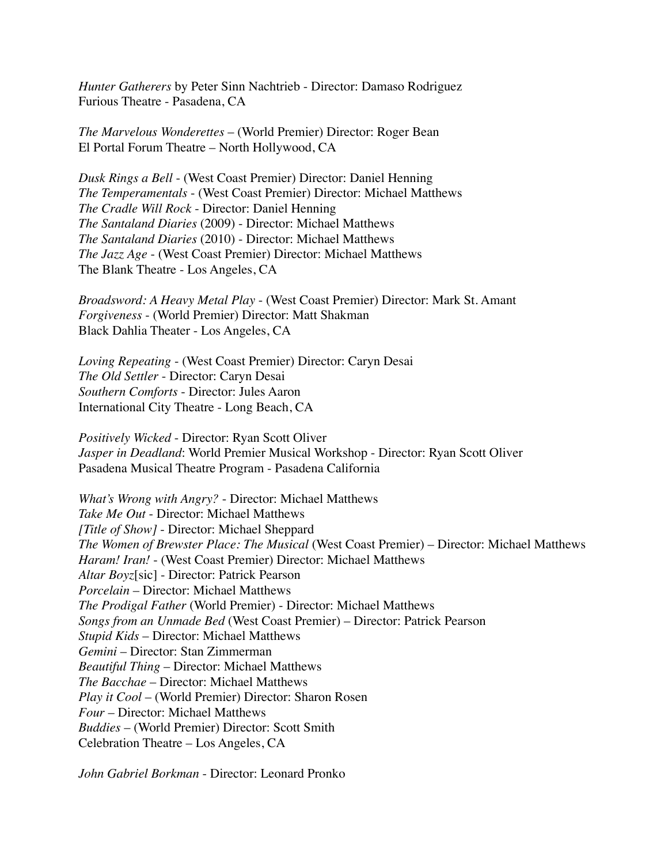*Hunter Gatherers* by Peter Sinn Nachtrieb - Director: Damaso Rodriguez Furious Theatre - Pasadena, CA

*The Marvelous Wonderettes* – (World Premier) Director: Roger Bean El Portal Forum Theatre – North Hollywood, CA

*Dusk Rings a Bell* - (West Coast Premier) Director: Daniel Henning *The Temperamentals* - (West Coast Premier) Director: Michael Matthews *The Cradle Will Rock* - Director: Daniel Henning *The Santaland Diaries* (2009) - Director: Michael Matthews *The Santaland Diaries* (2010) - Director: Michael Matthews *The Jazz Age* - (West Coast Premier) Director: Michael Matthews The Blank Theatre - Los Angeles, CA

*Broadsword: A Heavy Metal Play* - (West Coast Premier) Director: Mark St. Amant *Forgiveness* - (World Premier) Director: Matt Shakman Black Dahlia Theater - Los Angeles, CA

*Loving Repeating* - (West Coast Premier) Director: Caryn Desai *The Old Settler* - Director: Caryn Desai *Southern Comforts* - Director: Jules Aaron International City Theatre - Long Beach, CA

*Positively Wicked* - Director: Ryan Scott Oliver *Jasper in Deadland*: World Premier Musical Workshop - Director: Ryan Scott Oliver Pasadena Musical Theatre Program - Pasadena California

*What's Wrong with Angry?* - Director: Michael Matthews *Take Me Out* - Director: Michael Matthews *[Title of Show]* - Director: Michael Sheppard *The Women of Brewster Place: The Musical* (West Coast Premier) – Director: Michael Matthews *Haram! Iran!* - (West Coast Premier) Director: Michael Matthews *Altar Boyz*[sic] - Director: Patrick Pearson *Porcelain* – Director: Michael Matthews *The Prodigal Father* (World Premier) - Director: Michael Matthews *Songs from an Unmade Bed* (West Coast Premier) – Director: Patrick Pearson *Stupid Kids* – Director: Michael Matthews *Gemini* – Director: Stan Zimmerman *Beautiful Thing* – Director: Michael Matthews *The Bacchae* – Director: Michael Matthews *Play it Cool* – (World Premier) Director: Sharon Rosen *Four* – Director: Michael Matthews *Buddies* – (World Premier) Director: Scott Smith Celebration Theatre – Los Angeles, CA

*John Gabriel Borkman* - Director: Leonard Pronko